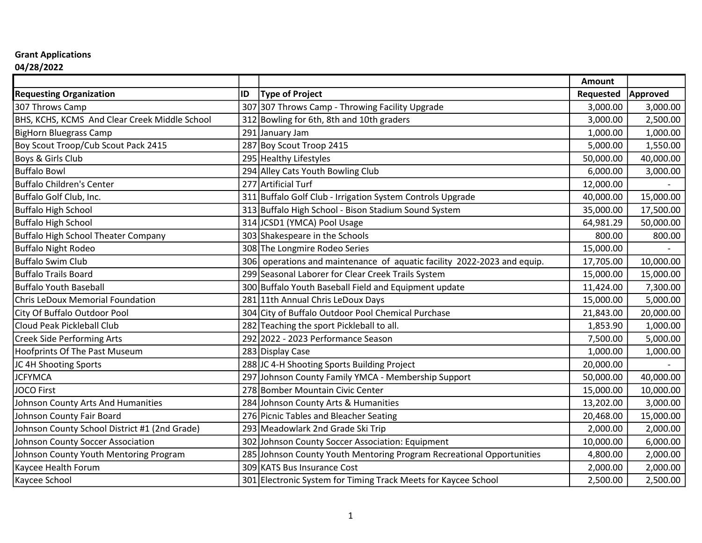## Grant Applications

## 04/28/2022

|                                               |    |                                                                         | Amount    |                 |
|-----------------------------------------------|----|-------------------------------------------------------------------------|-----------|-----------------|
| <b>Requesting Organization</b>                | ID | <b>Type of Project</b>                                                  | Requested | <b>Approved</b> |
| 307 Throws Camp                               |    | 307 307 Throws Camp - Throwing Facility Upgrade                         | 3,000.00  | 3,000.00        |
| BHS, KCHS, KCMS And Clear Creek Middle School |    | 312 Bowling for 6th, 8th and 10th graders                               | 3,000.00  | 2,500.00        |
| <b>BigHorn Bluegrass Camp</b>                 |    | 291 January Jam                                                         | 1,000.00  | 1,000.00        |
| Boy Scout Troop/Cub Scout Pack 2415           |    | 287 Boy Scout Troop 2415                                                | 5,000.00  | 1,550.00        |
| Boys & Girls Club                             |    | 295 Healthy Lifestyles                                                  | 50,000.00 | 40,000.00       |
| <b>Buffalo Bowl</b>                           |    | 294 Alley Cats Youth Bowling Club                                       | 6,000.00  | 3,000.00        |
| <b>Buffalo Children's Center</b>              |    | 277 Artificial Turf                                                     | 12,000.00 |                 |
| Buffalo Golf Club, Inc.                       |    | 311 Buffalo Golf Club - Irrigation System Controls Upgrade              | 40,000.00 | 15,000.00       |
| <b>Buffalo High School</b>                    |    | 313 Buffalo High School - Bison Stadium Sound System                    | 35,000.00 | 17,500.00       |
| <b>Buffalo High School</b>                    |    | 314 JCSD1 (YMCA) Pool Usage                                             | 64,981.29 | 50,000.00       |
| <b>Buffalo High School Theater Company</b>    |    | 303 Shakespeare in the Schools                                          | 800.00    | 800.00          |
| <b>Buffalo Night Rodeo</b>                    |    | 308 The Longmire Rodeo Series                                           | 15,000.00 |                 |
| <b>Buffalo Swim Club</b>                      |    | 306 operations and maintenance of aquatic facility 2022-2023 and equip. | 17,705.00 | 10,000.00       |
| <b>Buffalo Trails Board</b>                   |    | 299 Seasonal Laborer for Clear Creek Trails System                      | 15,000.00 | 15,000.00       |
| <b>Buffalo Youth Baseball</b>                 |    | 300 Buffalo Youth Baseball Field and Equipment update                   | 11,424.00 | 7,300.00        |
| <b>Chris LeDoux Memorial Foundation</b>       |    | 281 11th Annual Chris LeDoux Days                                       | 15,000.00 | 5,000.00        |
| City Of Buffalo Outdoor Pool                  |    | 304 City of Buffalo Outdoor Pool Chemical Purchase                      | 21,843.00 | 20,000.00       |
| Cloud Peak Pickleball Club                    |    | 282 Teaching the sport Pickleball to all.                               | 1,853.90  | 1,000.00        |
| <b>Creek Side Performing Arts</b>             |    | 292 2022 - 2023 Performance Season                                      | 7,500.00  | 5,000.00        |
| Hoofprints Of The Past Museum                 |    | 283 Display Case                                                        | 1,000.00  | 1,000.00        |
| JC 4H Shooting Sports                         |    | 288 JC 4-H Shooting Sports Building Project                             | 20,000.00 |                 |
| <b>JCFYMCA</b>                                |    | 297 Johnson County Family YMCA - Membership Support                     | 50,000.00 | 40,000.00       |
| <b>JOCO First</b>                             |    | 278 Bomber Mountain Civic Center                                        | 15,000.00 | 10,000.00       |
| Johnson County Arts And Humanities            |    | 284 Johnson County Arts & Humanities                                    | 13,202.00 | 3,000.00        |
| Johnson County Fair Board                     |    | 276 Picnic Tables and Bleacher Seating                                  | 20,468.00 | 15,000.00       |
| Johnson County School District #1 (2nd Grade) |    | 293 Meadowlark 2nd Grade Ski Trip                                       | 2,000.00  | 2,000.00        |
| <b>Johnson County Soccer Association</b>      |    | 302 Johnson County Soccer Association: Equipment                        | 10,000.00 | 6,000.00        |
| Johnson County Youth Mentoring Program        |    | 285 Johnson County Youth Mentoring Program Recreational Opportunities   | 4,800.00  | 2,000.00        |
| Kaycee Health Forum                           |    | 309 KATS Bus Insurance Cost                                             | 2,000.00  | 2,000.00        |
| Kaycee School                                 |    | 301 Electronic System for Timing Track Meets for Kaycee School          | 2,500.00  | 2,500.00        |